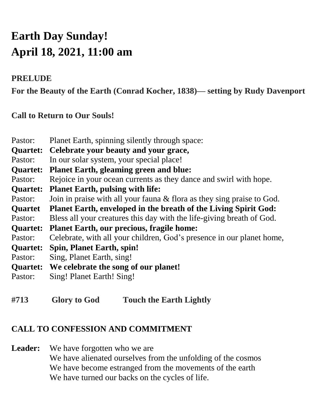# **Earth Day Sunday! April 18, 2021, 11:00 am**

# **PRELUDE**

**For the Beauty of the Earth (Conrad Kocher, 1838)— setting by Rudy Davenport**

# **Call to Return to Our Souls!**

| Planet Earth, spinning silently through space:                         |
|------------------------------------------------------------------------|
| Celebrate your beauty and your grace,                                  |
| In our solar system, your special place!                               |
| <b>Planet Earth, gleaming green and blue:</b>                          |
| Rejoice in your ocean currents as they dance and swirl with hope.      |
| <b>Planet Earth, pulsing with life:</b>                                |
| Join in praise with all your fauna & flora as they sing praise to God. |
| Planet Earth, enveloped in the breath of the Living Spirit God:        |
| Bless all your creatures this day with the life-giving breath of God.  |
| <b>Planet Earth, our precious, fragile home:</b>                       |
| Celebrate, with all your children, God's presence in our planet home,  |
| <b>Spin, Planet Earth, spin!</b>                                       |
| Sing, Planet Earth, sing!                                              |
| We celebrate the song of our planet!                                   |
| Sing! Planet Earth! Sing!                                              |
|                                                                        |

**#713 Glory to God Touch the Earth Lightly**

# **CALL TO CONFESSION AND COMMITMENT**

Leader: We have forgotten who we are We have alienated ourselves from the unfolding of the cosmos We have become estranged from the movements of the earth We have turned our backs on the cycles of life.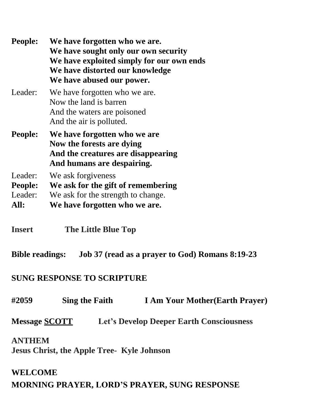**People: We have forgotten who we are. We have sought only our own security We have exploited simply for our own ends We have distorted our knowledge We have abused our power.** Leader: We have forgotten who we are. Now the land is barren And the waters are poisoned And the air is polluted. **People: We have forgotten who we are Now the forests are dying And the creatures are disappearing And humans are despairing.** Leader: We ask forgiveness **People: We ask for the gift of remembering** Leader: We ask for the strength to change. **All: We have forgotten who we are.**

**Insert The Little Blue Top**

**Bible readings: Job 37 (read as a prayer to God) Romans 8:19-23**

## **SUNG RESPONSE TO SCRIPTURE**

**#2059 Sing the Faith I Am Your Mother(Earth Prayer)**

**Message SCOTT Let's Develop Deeper Earth Consciousness**

#### **ANTHEM**

**Jesus Christ, the Apple Tree- Kyle Johnson**

#### **WELCOME**

## **MORNING PRAYER, LORD'S PRAYER, SUNG RESPONSE**